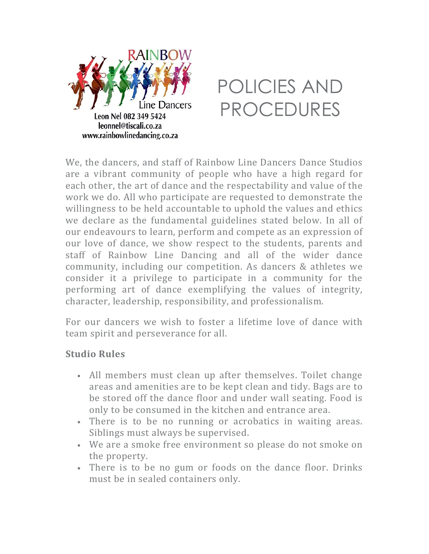



We, the dancers, and staff of Rainbow Line Dancers Dance Studios are a vibrant community of people who have a high regard for each other, the art of dance and the respectability and value of the work we do. All who participate are requested to demonstrate the willingness to be held accountable to uphold the values and ethics we declare as the fundamental guidelines stated below. In all of our endeavours to learn, perform and compete as an expression of our love of dance, we show respect to the students, parents and staff of Rainbow Line Dancing and all of the wider dance community, including our competition. As dancers & athletes we consider it a privilege to participate in a community for the performing art of dance exemplifying the values of integrity, character, leadership, responsibility, and professionalism.

For our dancers we wish to foster a lifetime love of dance with team spirit and perseverance for all.

#### **Studio Rules**

- All members must clean up after themselves. Toilet change areas and amenities are to be kept clean and tidy. Bags are to be stored off the dance floor and under wall seating. Food is only to be consumed in the kitchen and entrance area.
- There is to be no running or acrobatics in waiting areas. Siblings must always be supervised.
- We are a smoke free environment so please do not smoke on the property.
- There is to be no gum or foods on the dance floor. Drinks must be in sealed containers only.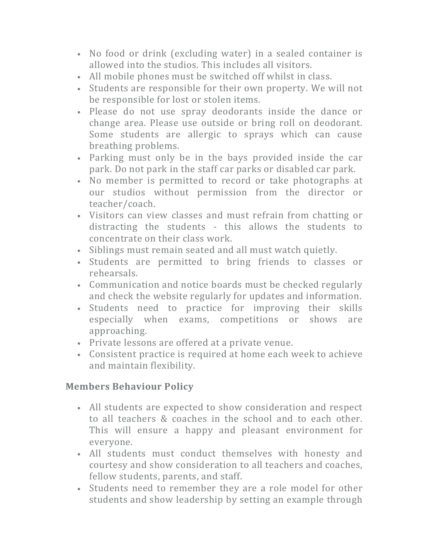- No food or drink (excluding water) in a sealed container is allowed into the studios. This includes all visitors.
- All mobile phones must be switched off whilst in class.
- Students are responsible for their own property. We will not be responsible for lost or stolen items.
- Please do not use spray deodorants inside the dance or change area. Please use outside or bring roll on deodorant. Some students are allergic to sprays which can cause breathing problems.
- Parking must only be in the bays provided inside the car park. Do not park in the staff car parks or disabled car park.
- No member is permitted to record or take photographs at our studios without permission from the director or teacher/coach.
- Visitors can view classes and must refrain from chatting or distracting the students - this allows the students to concentrate on their class work.
- Siblings must remain seated and all must watch quietly.
- Students are permitted to bring friends to classes or rehearsals.
- Communication and notice boards must be checked regularly and check the website regularly for updates and information.
- Students need to practice for improving their skills especially when exams, competitions or shows are approaching.
- Private lessons are offered at a private venue.
- Consistent practice is required at home each week to achieve and maintain flexibility.

## **Members Behaviour Policy**

- All students are expected to show consideration and respect to all teachers & coaches in the school and to each other. This will ensure a happy and pleasant environment for everyone.
- All students must conduct themselves with honesty and courtesy and show consideration to all teachers and coaches, fellow students, parents, and staff.
- Students need to remember they are a role model for other students and show leadership by setting an example through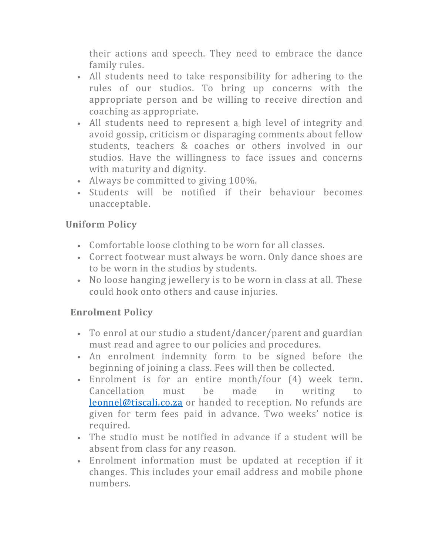their actions and speech. They need to embrace the dance family rules.

- All students need to take responsibility for adhering to the rules of our studios. To bring up concerns with the appropriate person and be willing to receive direction and coaching as appropriate.
- All students need to represent a high level of integrity and avoid gossip, criticism or disparaging comments about fellow students, teachers & coaches or others involved in our studios. Have the willingness to face issues and concerns with maturity and dignity.
- Always be committed to giving 100%.
- Students will be notified if their behaviour becomes unacceptable.

# **Uniform Policy**

- Comfortable loose clothing to be worn for all classes.
- Correct footwear must always be worn. Only dance shoes are to be worn in the studios by students.
- No loose hanging jewellery is to be worn in class at all. These could hook onto others and cause injuries.

# **Enrolment Policy**

- To enrol at our studio a student/dancer/parent and guardian must read and agree to our policies and procedures.
- An enrolment indemnity form to be signed before the beginning of joining a class. Fees will then be collected.
- Enrolment is for an entire month/four (4) week term. Cancellation must be made in writing to leonnel@tiscali.co.za or handed to reception. No refunds are given for term fees paid in advance. Two weeks' notice is required.
- The studio must be notified in advance if a student will be absent from class for any reason.
- Enrolment information must be updated at reception if it changes. This includes your email address and mobile phone numbers.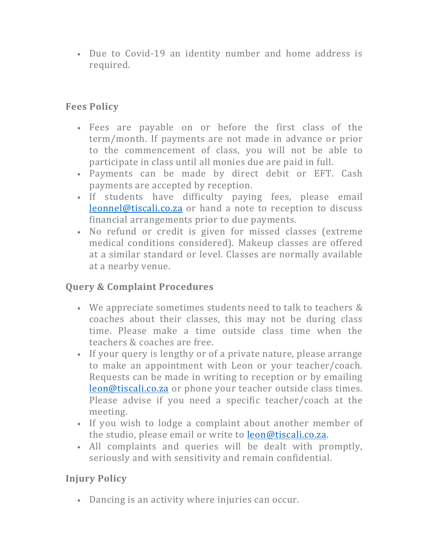• Due to Covid-19 an identity number and home address is required.

## **Fees Policy**

- Fees are payable on or before the first class of the term/month. If payments are not made in advance or prior to the commencement of class, you will not be able to participate in class until all monies due are paid in full.
- Payments can be made by direct debit or EFT. Cash payments are accepted by reception.
- If students have difficulty paying fees, please email leonnel@tiscali.co.za or hand a note to reception to discuss financial arrangements prior to due payments.
- No refund or credit is given for missed classes (extreme medical conditions considered). Makeup classes are offered at a similar standard or level. Classes are normally available at a nearby venue.

## **Query & Complaint Procedures**

- We appreciate sometimes students need to talk to teachers & coaches about their classes, this may not be during class time. Please make a time outside class time when the teachers & coaches are free.
- If your query is lengthy or of a private nature, please arrange to make an appointment with Leon or your teacher/coach. Requests can be made in writing to reception or by emailing leon@tiscali.co.za or phone your teacher outside class times. Please advise if you need a specific teacher/coach at the meeting.
- If you wish to lodge a complaint about another member of the studio, please email or write to leon@tiscali.co.za.
- All complaints and queries will be dealt with promptly, seriously and with sensitivity and remain confidential.

## **Injury Policy**

• Dancing is an activity where injuries can occur.